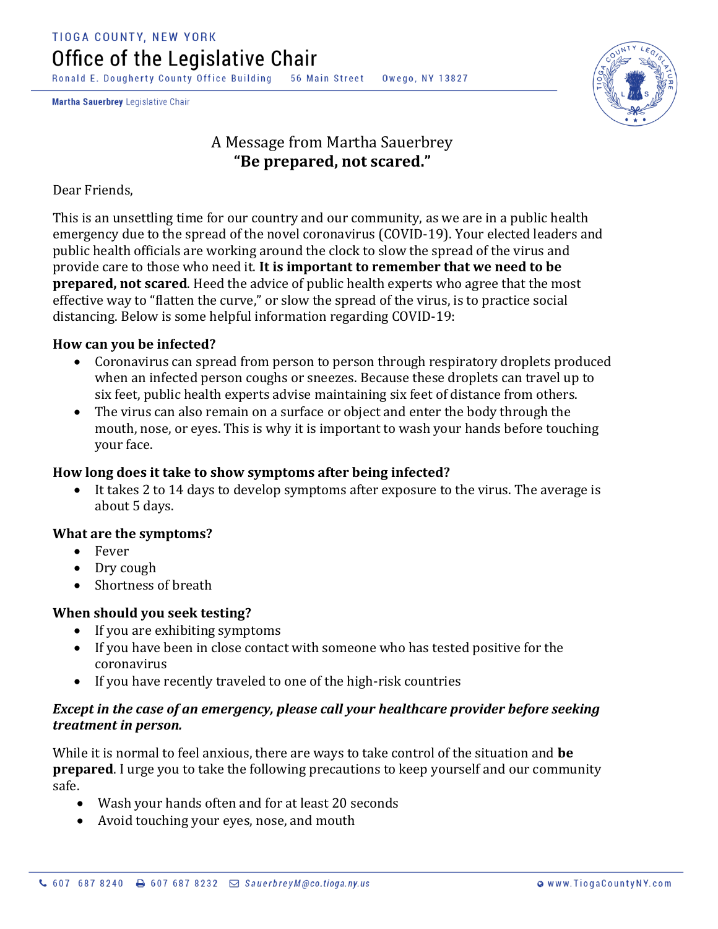Ronald E. Dougherty County Office Building 56 Main Street Owego, NY 13827

Martha Sauerbrey Legislative Chair



# A Message from Martha Sauerbrey **"Be prepared, not scared."**

Dear Friends,

This is an unsettling time for our country and our community, as we are in a public health emergency due to the spread of the novel coronavirus (COVID-19). Your elected leaders and public health officials are working around the clock to slow the spread of the virus and provide care to those who need it. **It is important to remember that we need to be prepared, not scared**. Heed the advice of public health experts who agree that the most effective way to "flatten the curve," or slow the spread of the virus, is to practice social distancing. Below is some helpful information regarding COVID-19:

#### **How can you be infected?**

- Coronavirus can spread from person to person through respiratory droplets produced when an infected person coughs or sneezes. Because these droplets can travel up to six feet, public health experts advise maintaining six feet of distance from others.
- The virus can also remain on a surface or object and enter the body through the mouth, nose, or eyes. This is why it is important to wash your hands before touching your face.

#### **How long does it take to show symptoms after being infected?**

• It takes 2 to 14 days to develop symptoms after exposure to the virus. The average is about 5 days.

### **What are the symptoms?**

- Fever
- Dry cough
- Shortness of breath

### **When should you seek testing?**

- If you are exhibiting symptoms
- If you have been in close contact with someone who has tested positive for the coronavirus
- If you have recently traveled to one of the high-risk countries

#### *Except in the case of an emergency, please call your healthcare provider before seeking treatment in person.*

While it is normal to feel anxious, there are ways to take control of the situation and **be prepared**. I urge you to take the following precautions to keep yourself and our community safe.

- Wash your hands often and for at least 20 seconds
- Avoid touching your eyes, nose, and mouth